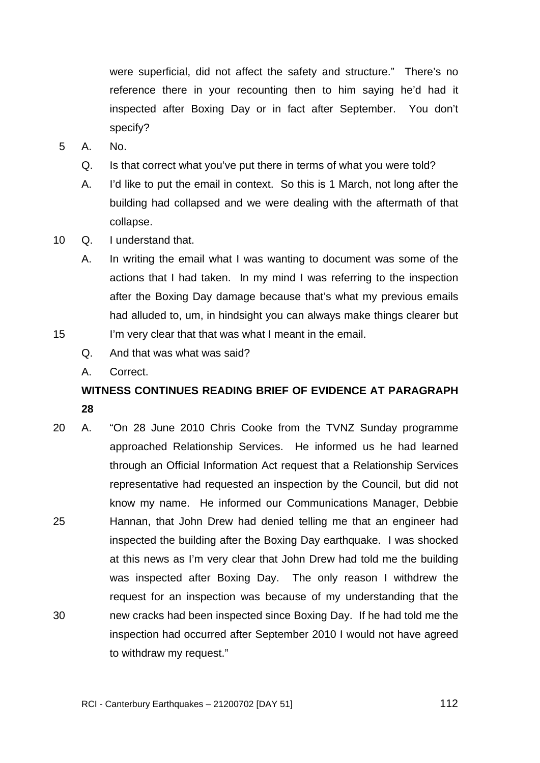were superficial, did not affect the safety and structure." There's no reference there in your recounting then to him saying he'd had it inspected after Boxing Day or in fact after September. You don't specify?

- 5 A. No.
	- Q. Is that correct what you've put there in terms of what you were told?
	- A. I'd like to put the email in context. So this is 1 March, not long after the building had collapsed and we were dealing with the aftermath of that collapse.
- 10 Q. I understand that.
	- A. In writing the email what I was wanting to document was some of the actions that I had taken. In my mind I was referring to the inspection after the Boxing Day damage because that's what my previous emails had alluded to, um, in hindsight you can always make things clearer but I'm very clear that that was what I meant in the email.
	- Q. And that was what was said?
		- A. Correct.

15

# **WITNESS CONTINUES READING BRIEF OF EVIDENCE AT PARAGRAPH 28**

25 30 20 A. "On 28 June 2010 Chris Cooke from the TVNZ Sunday programme approached Relationship Services. He informed us he had learned through an Official Information Act request that a Relationship Services representative had requested an inspection by the Council, but did not know my name. He informed our Communications Manager, Debbie Hannan, that John Drew had denied telling me that an engineer had inspected the building after the Boxing Day earthquake. I was shocked at this news as I'm very clear that John Drew had told me the building was inspected after Boxing Day. The only reason I withdrew the request for an inspection was because of my understanding that the new cracks had been inspected since Boxing Day. If he had told me the inspection had occurred after September 2010 I would not have agreed to withdraw my request."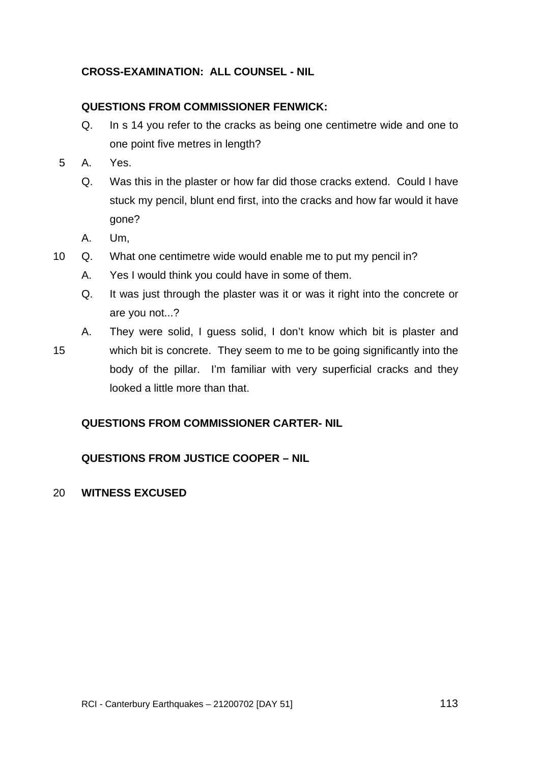## **CROSS-EXAMINATION: ALL COUNSEL - NIL**

## **QUESTIONS FROM COMMISSIONER FENWICK:**

- Q. In s 14 you refer to the cracks as being one centimetre wide and one to one point five metres in length?
- 5 A. Yes.
	- Q. Was this in the plaster or how far did those cracks extend. Could I have stuck my pencil, blunt end first, into the cracks and how far would it have gone?
	- A. Um,
- 10 Q. What one centimetre wide would enable me to put my pencil in?
	- A. Yes I would think you could have in some of them.
	- Q. It was just through the plaster was it or was it right into the concrete or are you not...?
	- A. They were solid, I guess solid, I don't know which bit is plaster and
- 15 which bit is concrete. They seem to me to be going significantly into the body of the pillar. I'm familiar with very superficial cracks and they looked a little more than that.

## **QUESTIONS FROM COMMISSIONER CARTER- NIL**

## **QUESTIONS FROM JUSTICE COOPER – NIL**

#### 20 **WITNESS EXCUSED**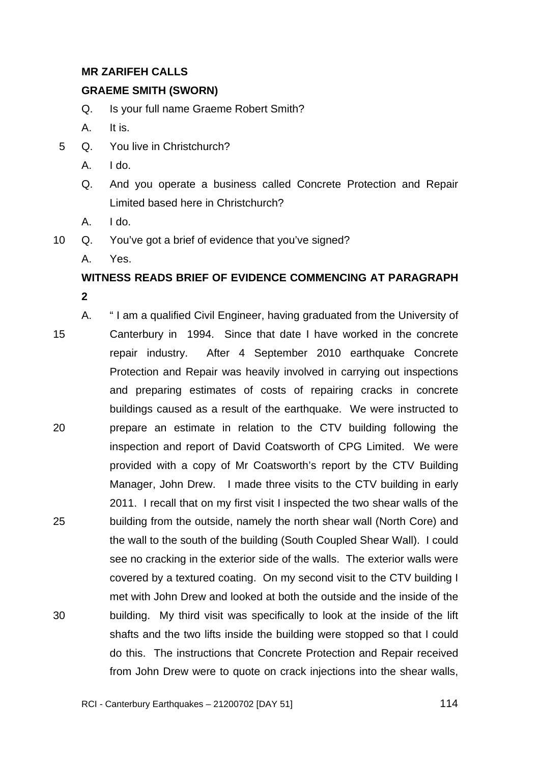## **MR ZARIFEH CALLS**

### **GRAEME SMITH (SWORN)**

- Q. Is your full name Graeme Robert Smith?
- A. It is.
- 5 Q. You live in Christchurch?
	- A. I do.
	- Q. And you operate a business called Concrete Protection and Repair Limited based here in Christchurch?
	- A. I do.
- 10 Q. You've got a brief of evidence that you've signed?
	- A. Yes.

# **WITNESS READS BRIEF OF EVIDENCE COMMENCING AT PARAGRAPH 2**

15 20 25 30 A. " I am a qualified Civil Engineer, having graduated from the University of Canterbury in 1994. Since that date I have worked in the concrete repair industry. After 4 September 2010 earthquake Concrete Protection and Repair was heavily involved in carrying out inspections and preparing estimates of costs of repairing cracks in concrete buildings caused as a result of the earthquake. We were instructed to prepare an estimate in relation to the CTV building following the inspection and report of David Coatsworth of CPG Limited. We were provided with a copy of Mr Coatsworth's report by the CTV Building Manager, John Drew. I made three visits to the CTV building in early 2011. I recall that on my first visit I inspected the two shear walls of the building from the outside, namely the north shear wall (North Core) and the wall to the south of the building (South Coupled Shear Wall). I could see no cracking in the exterior side of the walls. The exterior walls were covered by a textured coating. On my second visit to the CTV building I met with John Drew and looked at both the outside and the inside of the building. My third visit was specifically to look at the inside of the lift shafts and the two lifts inside the building were stopped so that I could do this. The instructions that Concrete Protection and Repair received from John Drew were to quote on crack injections into the shear walls,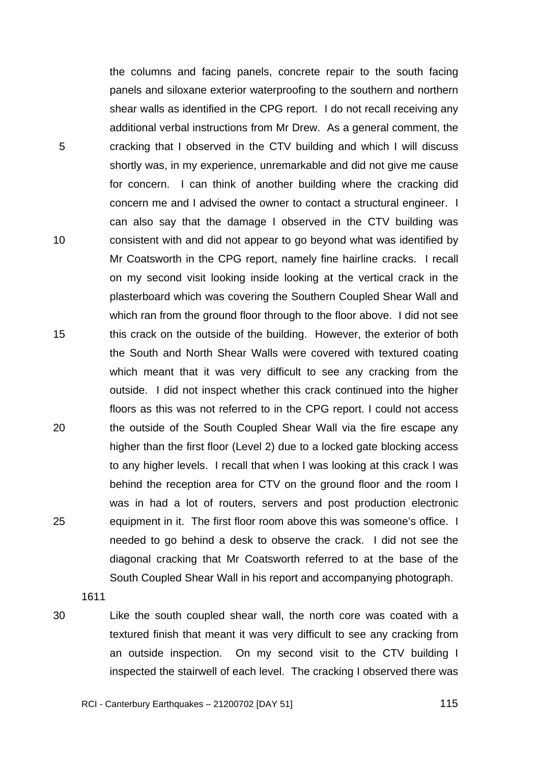TRANS.20120702.115

the columns and facing panels, concrete repair to the south facing panels and siloxane exterior waterproofing to the southern and northern shear walls as identified in the CPG report. I do not recall receiving any additional verbal instructions from Mr Drew. As a general comment, the cracking that I observed in the CTV building and which I will discuss shortly was, in my experience, unremarkable and did not give me cause for concern. I can think of another building where the cracking did concern me and I advised the owner to contact a structural engineer. I can also say that the damage I observed in the CTV building was consistent with and did not appear to go beyond what was identified by Mr Coatsworth in the CPG report, namely fine hairline cracks. I recall on my second visit looking inside looking at the vertical crack in the plasterboard which was covering the Southern Coupled Shear Wall and which ran from the ground floor through to the floor above. I did not see this crack on the outside of the building. However, the exterior of both the South and North Shear Walls were covered with textured coating which meant that it was very difficult to see any cracking from the outside. I did not inspect whether this crack continued into the higher floors as this was not referred to in the CPG report. I could not access the outside of the South Coupled Shear Wall via the fire escape any higher than the first floor (Level 2) due to a locked gate blocking access to any higher levels. I recall that when I was looking at this crack I was behind the reception area for CTV on the ground floor and the room I was in had a lot of routers, servers and post production electronic equipment in it. The first floor room above this was someone's office. I needed to go behind a desk to observe the crack. I did not see the diagonal cracking that Mr Coatsworth referred to at the base of the South Coupled Shear Wall in his report and accompanying photograph.

5

10

15

20

25

1611

30

Like the south coupled shear wall, the north core was coated with a textured finish that meant it was very difficult to see any cracking from an outside inspection. On my second visit to the CTV building I inspected the stairwell of each level. The cracking I observed there was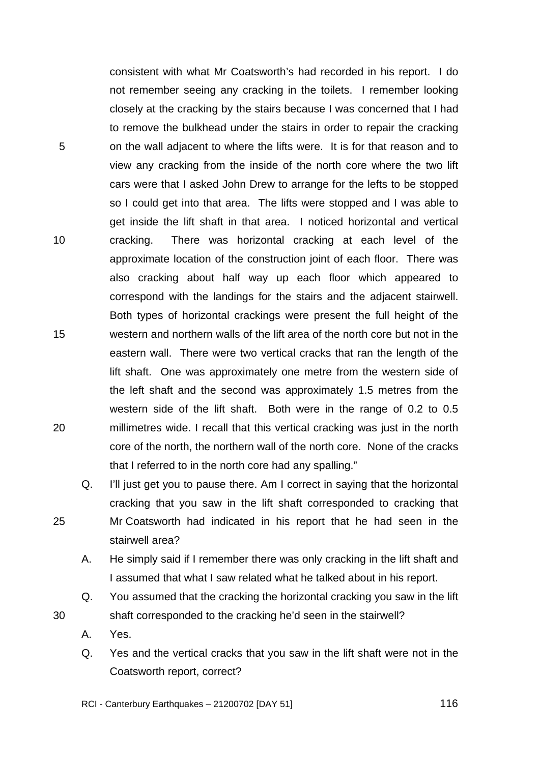consistent with what Mr Coatsworth's had recorded in his report. I do not remember seeing any cracking in the toilets. I remember looking closely at the cracking by the stairs because I was concerned that I had to remove the bulkhead under the stairs in order to repair the cracking on the wall adjacent to where the lifts were. It is for that reason and to view any cracking from the inside of the north core where the two lift cars were that I asked John Drew to arrange for the lefts to be stopped so I could get into that area. The lifts were stopped and I was able to get inside the lift shaft in that area. I noticed horizontal and vertical cracking. There was horizontal cracking at each level of the approximate location of the construction joint of each floor. There was also cracking about half way up each floor which appeared to correspond with the landings for the stairs and the adjacent stairwell. Both types of horizontal crackings were present the full height of the western and northern walls of the lift area of the north core but not in the eastern wall. There were two vertical cracks that ran the length of the lift shaft. One was approximately one metre from the western side of the left shaft and the second was approximately 1.5 metres from the western side of the lift shaft. Both were in the range of 0.2 to 0.5 millimetres wide. I recall that this vertical cracking was just in the north core of the north, the northern wall of the north core. None of the cracks that I referred to in the north core had any spalling."

Q. I'll just get you to pause there. Am I correct in saying that the horizontal cracking that you saw in the lift shaft corresponded to cracking that Mr Coatsworth had indicated in his report that he had seen in the stairwell area?

- A. He simply said if I remember there was only cracking in the lift shaft and I assumed that what I saw related what he talked about in his report.
- Q. You assumed that the cracking the horizontal cracking you saw in the lift shaft corresponded to the cracking he'd seen in the stairwell?
- A. Yes.
- Q. Yes and the vertical cracks that you saw in the lift shaft were not in the Coatsworth report, correct?

RCI - Canterbury Earthquakes – 21200702 [DAY 51]

5

10

15

20

25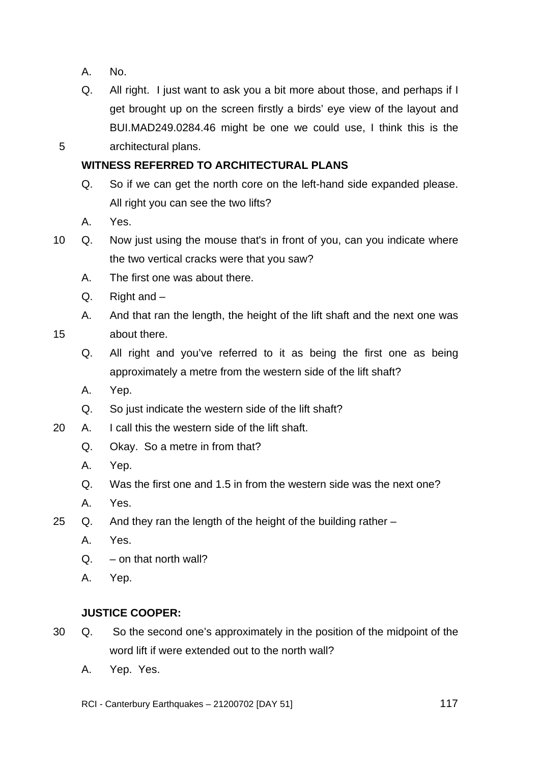A. No.

5

Q. All right. I just want to ask you a bit more about those, and perhaps if I get brought up on the screen firstly a birds' eye view of the layout and BUI.MAD249.0284.46 might be one we could use, I think this is the architectural plans.

## **WITNESS REFERRED TO ARCHITECTURAL PLANS**

- Q. So if we can get the north core on the left-hand side expanded please. All right you can see the two lifts?
- A. Yes.
- 10 Q. Now just using the mouse that's in front of you, can you indicate where the two vertical cracks were that you saw?
	- A. The first one was about there.
	- Q. Right and –
	- A. And that ran the length, the height of the lift shaft and the next one was about there.
- 15
	- Q. All right and you've referred to it as being the first one as being approximately a metre from the western side of the lift shaft?
	- A. Yep.
	- Q. So just indicate the western side of the lift shaft?
- 20 A. I call this the western side of the lift shaft.
	- Q. Okay. So a metre in from that?
	- A. Yep.
	- Q. Was the first one and 1.5 in from the western side was the next one?
	- A. Yes.
- 25 Q. And they ran the length of the height of the building rather
	- A. Yes.
	- $Q. -$  on that north wall?
	- A. Yep.

## **JUSTICE COOPER:**

- 30 Q. So the second one's approximately in the position of the midpoint of the word lift if were extended out to the north wall?
	- A. Yep. Yes.
	- RCI Canterbury Earthquakes 21200702 [DAY 51]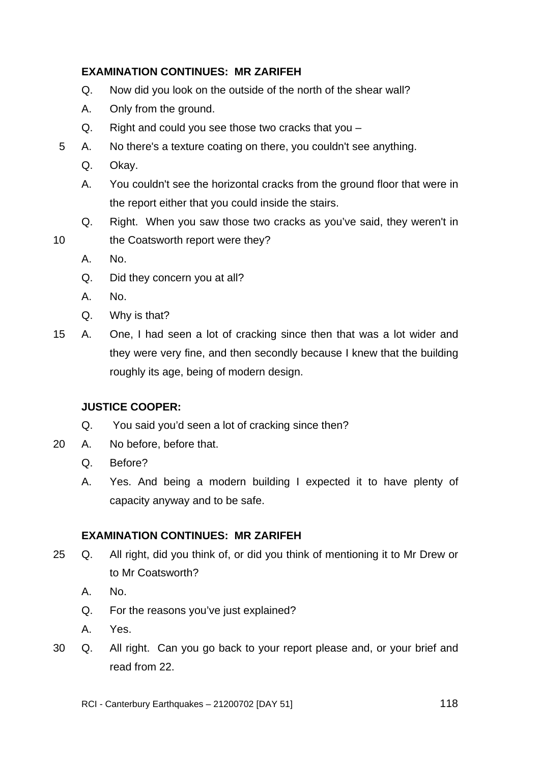## **EXAMINATION CONTINUES: MR ZARIFEH**

- Q. Now did you look on the outside of the north of the shear wall?
- A. Only from the ground.
- Q. Right and could you see those two cracks that you –
- 5 A. No there's a texture coating on there, you couldn't see anything.
	- Q. Okay.
	- A. You couldn't see the horizontal cracks from the ground floor that were in the report either that you could inside the stairs.
	- Q. Right. When you saw those two cracks as you've said, they weren't in
	- the Coatsworth report were they?
		- A. No.

10

- Q. Did they concern you at all?
- A. No.
- Q. Why is that?
- 15 A. One, I had seen a lot of cracking since then that was a lot wider and they were very fine, and then secondly because I knew that the building roughly its age, being of modern design.

# **JUSTICE COOPER:**

- Q. You said you'd seen a lot of cracking since then?
- 20 A. No before, before that.
	- Q. Before?
	- A. Yes. And being a modern building I expected it to have plenty of capacity anyway and to be safe.

## **EXAMINATION CONTINUES: MR ZARIFEH**

- 25 Q. All right, did you think of, or did you think of mentioning it to Mr Drew or to Mr Coatsworth?
	- A. No.
	- Q. For the reasons you've just explained?
	- A. Yes.
- 30 Q. All right. Can you go back to your report please and, or your brief and read from 22.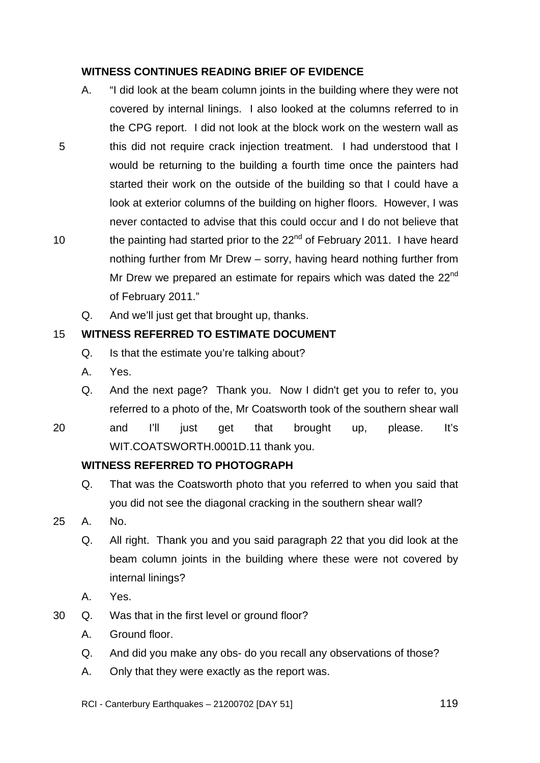## **WITNESS CONTINUES READING BRIEF OF EVIDENCE**

- A. "I did look at the beam column joints in the building where they were not covered by internal linings. I also looked at the columns referred to in the CPG report. I did not look at the block work on the western wall as this did not require crack injection treatment. I had understood that I would be returning to the building a fourth time once the painters had started their work on the outside of the building so that I could have a look at exterior columns of the building on higher floors. However, I was never contacted to advise that this could occur and I do not believe that the painting had started prior to the  $22<sup>nd</sup>$  of February 2011. I have heard nothing further from Mr Drew – sorry, having heard nothing further from Mr Drew we prepared an estimate for repairs which was dated the 22<sup>nd</sup> of February 2011."
	- Q. And we'll just get that brought up, thanks.

#### 15 **WITNESS REFERRED TO ESTIMATE DOCUMENT**

- Q. Is that the estimate you're talking about?
- A. Yes.

5

10

- Q. And the next page? Thank you. Now I didn't get you to refer to, you referred to a photo of the, Mr Coatsworth took of the southern shear wall
- 20 and I'll just get that brought up, please. It's WIT.COATSWORTH.0001D.11 thank you.

## **WITNESS REFERRED TO PHOTOGRAPH**

- Q. That was the Coatsworth photo that you referred to when you said that you did not see the diagonal cracking in the southern shear wall?
- 25 A. No.
	- Q. All right. Thank you and you said paragraph 22 that you did look at the beam column joints in the building where these were not covered by internal linings?
	- A. Yes.
- 30 Q. Was that in the first level or ground floor?
	- A. Ground floor.
	- Q. And did you make any obs- do you recall any observations of those?
	- A. Only that they were exactly as the report was.
	- RCI Canterbury Earthquakes 21200702 [DAY 51]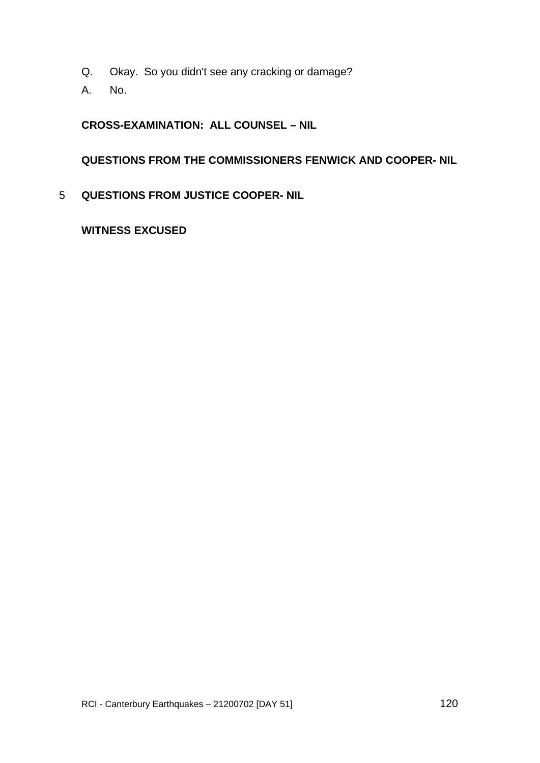- Q. Okay. So you didn't see any cracking or damage?
- A. No.

## **CROSS-EXAMINATION: ALL COUNSEL – NIL**

## **QUESTIONS FROM THE COMMISSIONERS FENWICK AND COOPER- NIL**

5 **QUESTIONS FROM JUSTICE COOPER- NIL** 

## **WITNESS EXCUSED**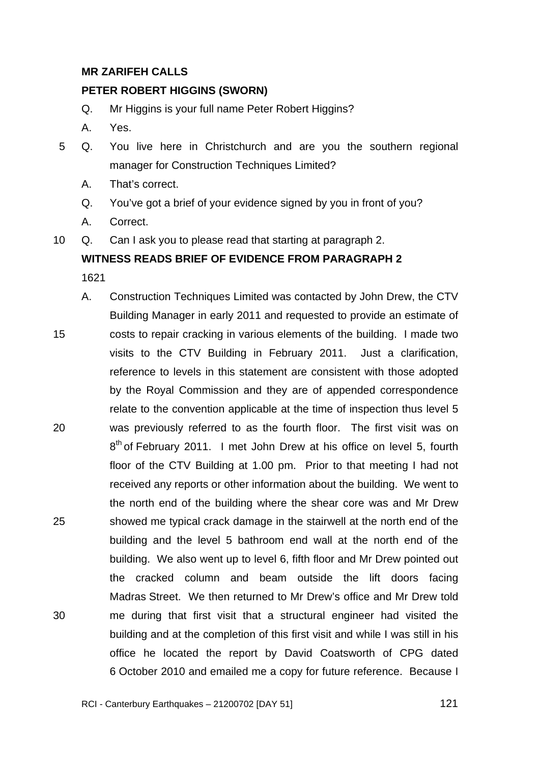## **MR ZARIFEH CALLS**

### **PETER ROBERT HIGGINS (SWORN)**

- Q. Mr Higgins is your full name Peter Robert Higgins?
- A. Yes.
- 5 Q. You live here in Christchurch and are you the southern regional manager for Construction Techniques Limited?
	- A. That's correct.
	- Q. You've got a brief of your evidence signed by you in front of you?
	- A. Correct.
- 10 Q. Can I ask you to please read that starting at paragraph 2.

## **WITNESS READS BRIEF OF EVIDENCE FROM PARAGRAPH 2**

1621

15 20 25 30 A. Construction Techniques Limited was contacted by John Drew, the CTV Building Manager in early 2011 and requested to provide an estimate of costs to repair cracking in various elements of the building. I made two visits to the CTV Building in February 2011. Just a clarification, reference to levels in this statement are consistent with those adopted by the Royal Commission and they are of appended correspondence relate to the convention applicable at the time of inspection thus level 5 was previously referred to as the fourth floor. The first visit was on 8<sup>th</sup> of February 2011. I met John Drew at his office on level 5, fourth floor of the CTV Building at 1.00 pm. Prior to that meeting I had not received any reports or other information about the building. We went to the north end of the building where the shear core was and Mr Drew showed me typical crack damage in the stairwell at the north end of the building and the level 5 bathroom end wall at the north end of the building. We also went up to level 6, fifth floor and Mr Drew pointed out the cracked column and beam outside the lift doors facing Madras Street. We then returned to Mr Drew's office and Mr Drew told me during that first visit that a structural engineer had visited the building and at the completion of this first visit and while I was still in his office he located the report by David Coatsworth of CPG dated 6 October 2010 and emailed me a copy for future reference. Because I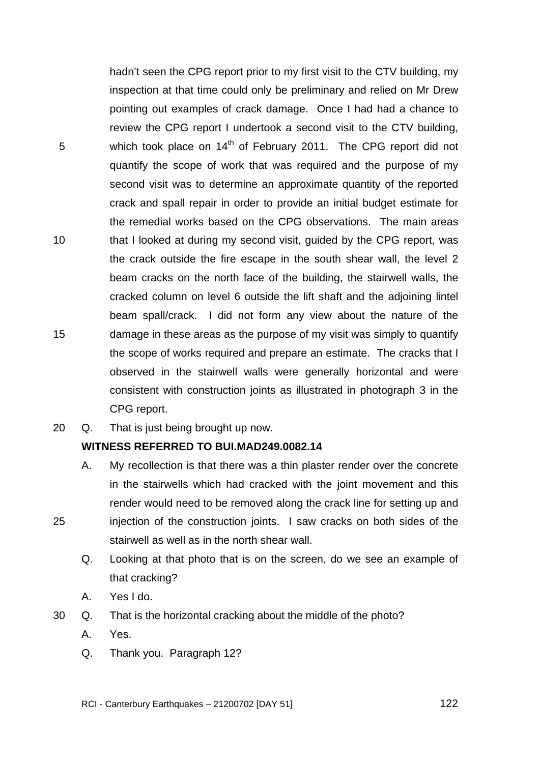TRANS.20120702.122

5 10 15 hadn't seen the CPG report prior to my first visit to the CTV building, my inspection at that time could only be preliminary and relied on Mr Drew pointing out examples of crack damage. Once I had had a chance to review the CPG report I undertook a second visit to the CTV building, which took place on  $14<sup>th</sup>$  of February 2011. The CPG report did not quantify the scope of work that was required and the purpose of my second visit was to determine an approximate quantity of the reported crack and spall repair in order to provide an initial budget estimate for the remedial works based on the CPG observations. The main areas that I looked at during my second visit, guided by the CPG report, was the crack outside the fire escape in the south shear wall, the level 2 beam cracks on the north face of the building, the stairwell walls, the cracked column on level 6 outside the lift shaft and the adjoining lintel beam spall/crack. I did not form any view about the nature of the damage in these areas as the purpose of my visit was simply to quantify the scope of works required and prepare an estimate. The cracks that I observed in the stairwell walls were generally horizontal and were consistent with construction joints as illustrated in photograph 3 in the CPG report.

20 Q. That is just being brought up now.

### **WITNESS REFERRED TO BUI.MAD249.0082.14**

- A. My recollection is that there was a thin plaster render over the concrete in the stairwells which had cracked with the joint movement and this render would need to be removed along the crack line for setting up and injection of the construction joints. I saw cracks on both sides of the stairwell as well as in the north shear wall.
	- Q. Looking at that photo that is on the screen, do we see an example of that cracking?
	- A. Yes I do.
- 30 Q. That is the horizontal cracking about the middle of the photo?
	- A. Yes.

25

Q. Thank you. Paragraph 12?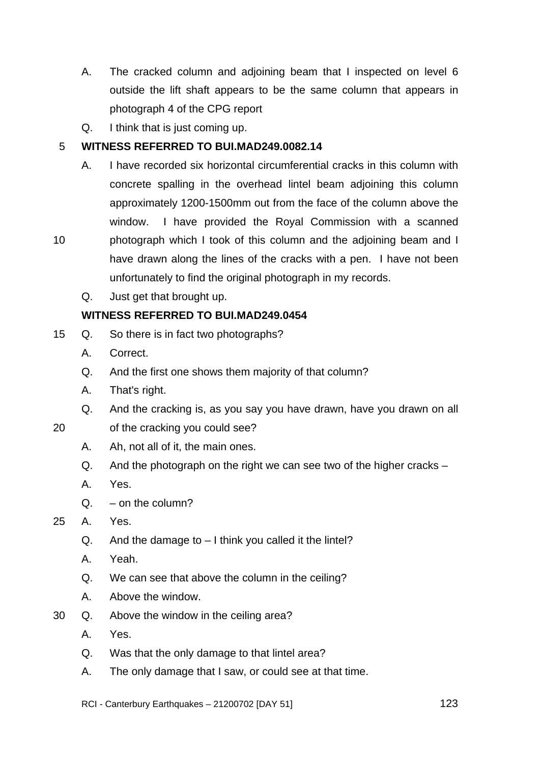- A. The cracked column and adjoining beam that I inspected on level 6 outside the lift shaft appears to be the same column that appears in photograph 4 of the CPG report
- Q. I think that is just coming up.

#### 5 **WITNESS REFERRED TO BUI.MAD249.0082.14**

- A. I have recorded six horizontal circumferential cracks in this column with concrete spalling in the overhead lintel beam adjoining this column approximately 1200-1500mm out from the face of the column above the window. I have provided the Royal Commission with a scanned photograph which I took of this column and the adjoining beam and I have drawn along the lines of the cracks with a pen. I have not been unfortunately to find the original photograph in my records.
	- Q. Just get that brought up.

## **WITNESS REFERRED TO BUI.MAD249.0454**

- 15 Q. So there is in fact two photographs?
	- A. Correct.

10

- Q. And the first one shows them majority of that column?
- A. That's right.
- Q. And the cracking is, as you say you have drawn, have you drawn on all
- 20 of the cracking you could see?
	- A. Ah, not all of it, the main ones.
	- Q. And the photograph on the right we can see two of the higher cracks –
	- A. Yes.
	- $Q. -$  on the column?

## 25 A. Yes.

- $Q.$  And the damage to  $-1$  think you called it the lintel?
- A. Yeah.
- Q. We can see that above the column in the ceiling?
- A. Above the window.
- 30 Q. Above the window in the ceiling area?
	- A. Yes.
	- Q. Was that the only damage to that lintel area?
	- A. The only damage that I saw, or could see at that time.
	- RCI Canterbury Earthquakes 21200702 [DAY 51]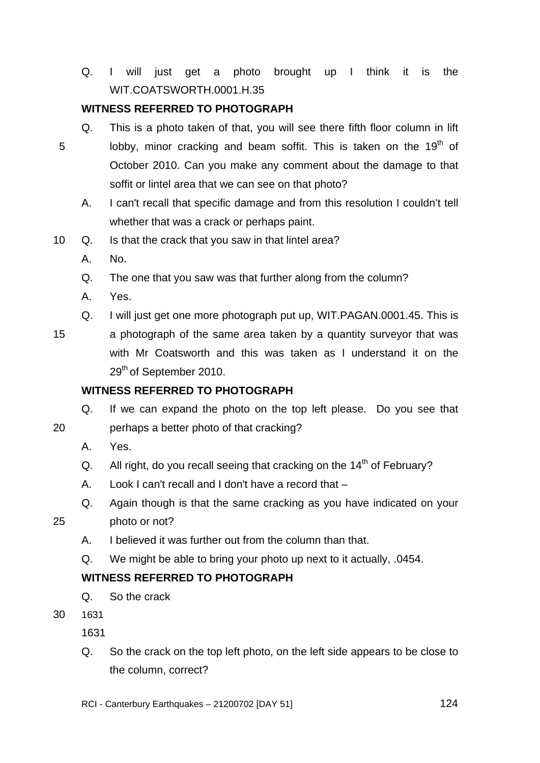Q. I will just get a photo brought up I think it is the WIT.COATSWORTH.0001.H.35

# **WITNESS REFERRED TO PHOTOGRAPH**

- 5 Q. This is a photo taken of that, you will see there fifth floor column in lift lobby, minor cracking and beam soffit. This is taken on the 19<sup>th</sup> of October 2010. Can you make any comment about the damage to that soffit or lintel area that we can see on that photo?
	- A. I can't recall that specific damage and from this resolution I couldn't tell whether that was a crack or perhaps paint.
- 10 Q. Is that the crack that you saw in that lintel area?
	- A. No.
	- Q. The one that you saw was that further along from the column?
	- A. Yes.
	- Q. I will just get one more photograph put up, WIT.PAGAN.0001.45. This is
- 15 a photograph of the same area taken by a quantity surveyor that was with Mr Coatsworth and this was taken as I understand it on the 29<sup>th</sup> of September 2010.

## **WITNESS REFERRED TO PHOTOGRAPH**

Q. If we can expand the photo on the top left please. Do you see that

- perhaps a better photo of that cracking?
	- A. Yes.

20

- Q. All right, do you recall seeing that cracking on the  $14<sup>th</sup>$  of February?
- A. Look I can't recall and I don't have a record that –
- Q. Again though is that the same cracking as you have indicated on your photo or not?

25

- A. I believed it was further out from the column than that.
- Q. We might be able to bring your photo up next to it actually, .0454.

## **WITNESS REFERRED TO PHOTOGRAPH**

- Q. So the crack
- 30 1631

1631

Q. So the crack on the top left photo, on the left side appears to be close to the column, correct?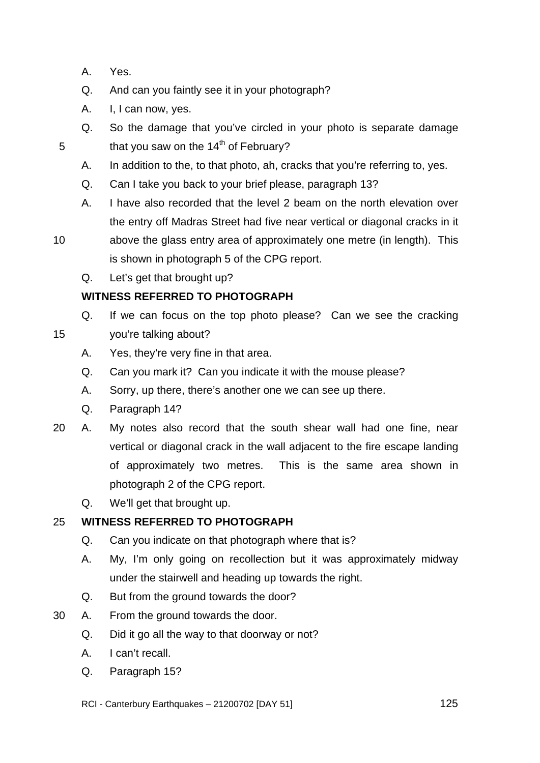A. Yes.

5

15

- Q. And can you faintly see it in your photograph?
- A. I, I can now, yes.
- Q. So the damage that you've circled in your photo is separate damage that you saw on the  $14<sup>th</sup>$  of February?
- A. In addition to the, to that photo, ah, cracks that you're referring to, yes.
- Q. Can I take you back to your brief please, paragraph 13?
- A. I have also recorded that the level 2 beam on the north elevation over the entry off Madras Street had five near vertical or diagonal cracks in it
- 10 above the glass entry area of approximately one metre (in length). This is shown in photograph 5 of the CPG report.
	- Q. Let's get that brought up?

## **WITNESS REFERRED TO PHOTOGRAPH**

- Q. If we can focus on the top photo please? Can we see the cracking you're talking about?
	- A. Yes, they're very fine in that area.
	- Q. Can you mark it? Can you indicate it with the mouse please?
	- A. Sorry, up there, there's another one we can see up there.
	- Q. Paragraph 14?
- 20 A. My notes also record that the south shear wall had one fine, near vertical or diagonal crack in the wall adjacent to the fire escape landing of approximately two metres. This is the same area shown in photograph 2 of the CPG report.
	- Q. We'll get that brought up.

#### 25 **WITNESS REFERRED TO PHOTOGRAPH**

- Q. Can you indicate on that photograph where that is?
- A. My, I'm only going on recollection but it was approximately midway under the stairwell and heading up towards the right.
- Q. But from the ground towards the door?
- 30 A. From the ground towards the door.
	- Q. Did it go all the way to that doorway or not?
	- A. I can't recall.
	- Q. Paragraph 15?

RCI - Canterbury Earthquakes – 21200702 [DAY 51]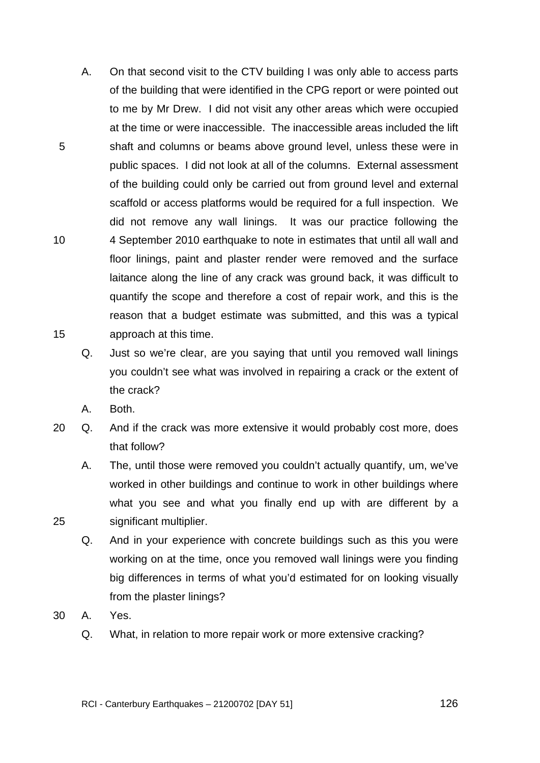- A. On that second visit to the CTV building I was only able to access parts of the building that were identified in the CPG report or were pointed out to me by Mr Drew. I did not visit any other areas which were occupied at the time or were inaccessible. The inaccessible areas included the lift shaft and columns or beams above ground level, unless these were in public spaces. I did not look at all of the columns. External assessment of the building could only be carried out from ground level and external scaffold or access platforms would be required for a full inspection. We did not remove any wall linings. It was our practice following the 4 September 2010 earthquake to note in estimates that until all wall and floor linings, paint and plaster render were removed and the surface laitance along the line of any crack was ground back, it was difficult to quantify the scope and therefore a cost of repair work, and this is the reason that a budget estimate was submitted, and this was a typical approach at this time.
	- Q. Just so we're clear, are you saying that until you removed wall linings you couldn't see what was involved in repairing a crack or the extent of the crack?
	- A. Both.

5

10

15

- 20 Q. And if the crack was more extensive it would probably cost more, does that follow?
	- A. The, until those were removed you couldn't actually quantify, um, we've worked in other buildings and continue to work in other buildings where what you see and what you finally end up with are different by a significant multiplier.
	- Q. And in your experience with concrete buildings such as this you were working on at the time, once you removed wall linings were you finding big differences in terms of what you'd estimated for on looking visually from the plaster linings?
- 30 A. Yes.
	- Q. What, in relation to more repair work or more extensive cracking?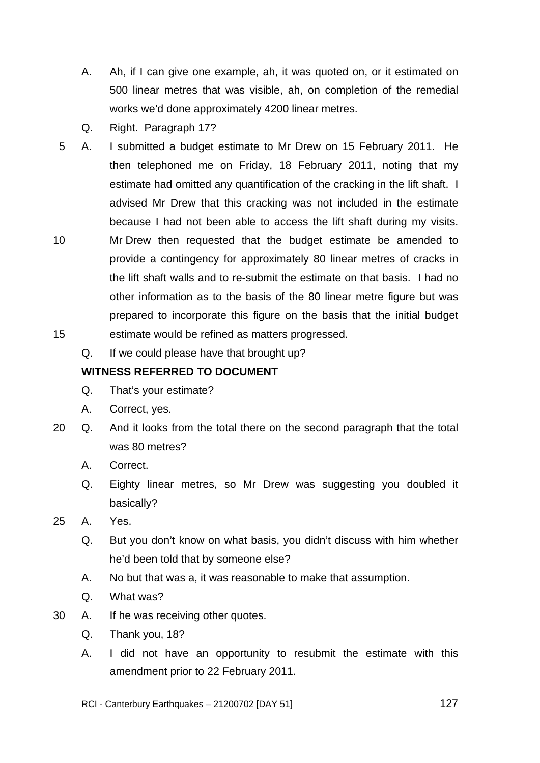- A. Ah, if I can give one example, ah, it was quoted on, or it estimated on 500 linear metres that was visible, ah, on completion of the remedial works we'd done approximately 4200 linear metres.
- Q. Right. Paragraph 17?
- 5 A. I submitted a budget estimate to Mr Drew on 15 February 2011. He then telephoned me on Friday, 18 February 2011, noting that my estimate had omitted any quantification of the cracking in the lift shaft. I advised Mr Drew that this cracking was not included in the estimate because I had not been able to access the lift shaft during my visits.
- 10 15 Mr Drew then requested that the budget estimate be amended to provide a contingency for approximately 80 linear metres of cracks in the lift shaft walls and to re-submit the estimate on that basis. I had no other information as to the basis of the 80 linear metre figure but was prepared to incorporate this figure on the basis that the initial budget estimate would be refined as matters progressed.
	- Q. If we could please have that brought up?

## **WITNESS REFERRED TO DOCUMENT**

- Q. That's your estimate?
- A. Correct, yes.
- 20 Q. And it looks from the total there on the second paragraph that the total was 80 metres?
	- A. Correct.
	- Q. Eighty linear metres, so Mr Drew was suggesting you doubled it basically?
- 25 A. Yes.
	- Q. But you don't know on what basis, you didn't discuss with him whether he'd been told that by someone else?
	- A. No but that was a, it was reasonable to make that assumption.
	- Q. What was?
- 30 A. If he was receiving other quotes.
	- Q. Thank you, 18?
	- A. I did not have an opportunity to resubmit the estimate with this amendment prior to 22 February 2011.
	- RCI Canterbury Earthquakes 21200702 [DAY 51]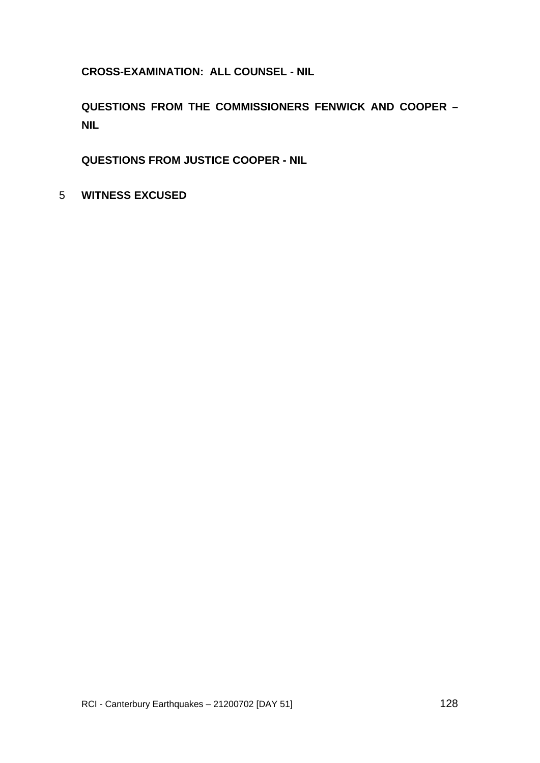**CROSS-EXAMINATION: ALL COUNSEL - NIL** 

**QUESTIONS FROM THE COMMISSIONERS FENWICK AND COOPER – NIL** 

**QUESTIONS FROM JUSTICE COOPER - NIL** 

5 **WITNESS EXCUSED**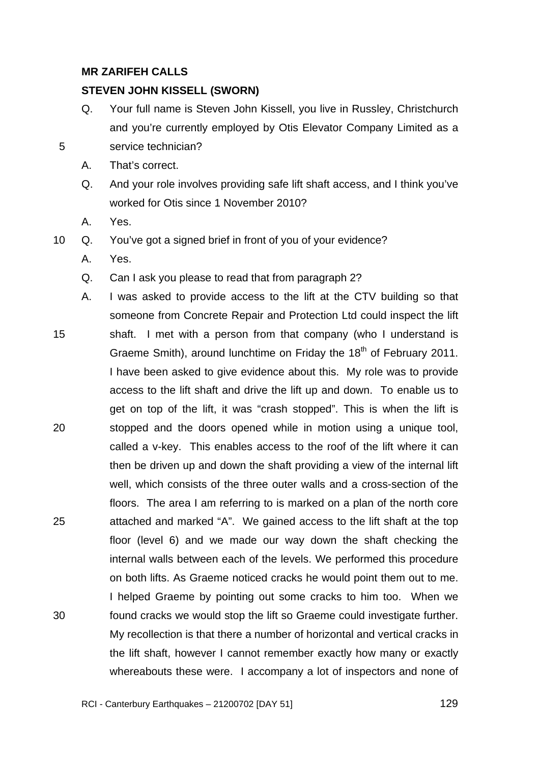## **MR ZARIFEH CALLS**

### **STEVEN JOHN KISSELL (SWORN)**

- Q. Your full name is Steven John Kissell, you live in Russley, Christchurch and you're currently employed by Otis Elevator Company Limited as a service technician?
- A. That's correct.
- Q. And your role involves providing safe lift shaft access, and I think you've worked for Otis since 1 November 2010?
- A. Yes.

- 10 Q. You've got a signed brief in front of you of your evidence?
	- A. Yes.
	- Q. Can I ask you please to read that from paragraph 2?
- 15 20 25 30 A. I was asked to provide access to the lift at the CTV building so that someone from Concrete Repair and Protection Ltd could inspect the lift shaft. I met with a person from that company (who I understand is Graeme Smith), around lunchtime on Friday the  $18<sup>th</sup>$  of February 2011. I have been asked to give evidence about this. My role was to provide access to the lift shaft and drive the lift up and down. To enable us to get on top of the lift, it was "crash stopped". This is when the lift is stopped and the doors opened while in motion using a unique tool, called a v-key. This enables access to the roof of the lift where it can then be driven up and down the shaft providing a view of the internal lift well, which consists of the three outer walls and a cross-section of the floors. The area I am referring to is marked on a plan of the north core attached and marked "A". We gained access to the lift shaft at the top floor (level 6) and we made our way down the shaft checking the internal walls between each of the levels. We performed this procedure on both lifts. As Graeme noticed cracks he would point them out to me. I helped Graeme by pointing out some cracks to him too. When we found cracks we would stop the lift so Graeme could investigate further. My recollection is that there a number of horizontal and vertical cracks in the lift shaft, however I cannot remember exactly how many or exactly whereabouts these were. I accompany a lot of inspectors and none of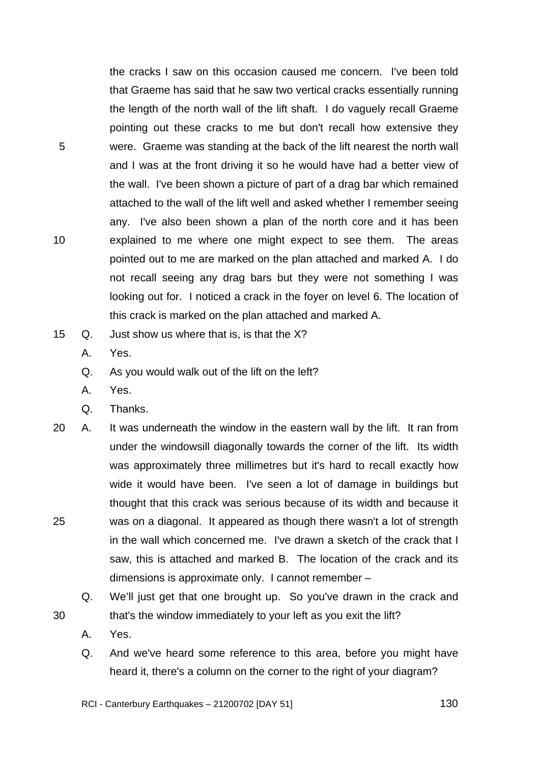the cracks I saw on this occasion caused me concern. I've been told that Graeme has said that he saw two vertical cracks essentially running the length of the north wall of the lift shaft. I do vaguely recall Graeme pointing out these cracks to me but don't recall how extensive they were. Graeme was standing at the back of the lift nearest the north wall and I was at the front driving it so he would have had a better view of the wall. I've been shown a picture of part of a drag bar which remained attached to the wall of the lift well and asked whether I remember seeing any. I've also been shown a plan of the north core and it has been explained to me where one might expect to see them. The areas pointed out to me are marked on the plan attached and marked A. I do not recall seeing any drag bars but they were not something I was looking out for. I noticed a crack in the foyer on level 6. The location of this crack is marked on the plan attached and marked A.

- 15 Q. Just show us where that is, is that the X?
	- A. Yes.

5

10

- Q. As you would walk out of the lift on the left?
- A. Yes.
- Q. Thanks.
- 25 20 A. It was underneath the window in the eastern wall by the lift. It ran from under the windowsill diagonally towards the corner of the lift. Its width was approximately three millimetres but it's hard to recall exactly how wide it would have been. I've seen a lot of damage in buildings but thought that this crack was serious because of its width and because it was on a diagonal. It appeared as though there wasn't a lot of strength in the wall which concerned me. I've drawn a sketch of the crack that I saw, this is attached and marked B. The location of the crack and its dimensions is approximate only. I cannot remember –
	- Q. We'll just get that one brought up. So you've drawn in the crack and that's the window immediately to your left as you exit the lift?
	- A. Yes.

30

Q. And we've heard some reference to this area, before you might have heard it, there's a column on the corner to the right of your diagram?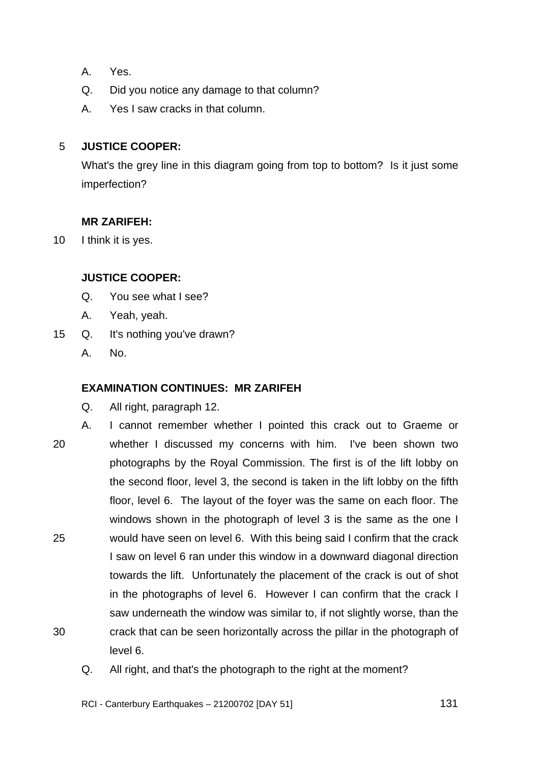- A. Yes.
- Q. Did you notice any damage to that column?
- A. Yes I saw cracks in that column.

#### 5 **JUSTICE COOPER:**

What's the grey line in this diagram going from top to bottom? Is it just some imperfection?

## **MR ZARIFEH:**

10 I think it is yes.

## **JUSTICE COOPER:**

- Q. You see what I see?
- A. Yeah, yeah.
- 15 Q. It's nothing you've drawn?
	- A. No.

## **EXAMINATION CONTINUES: MR ZARIFEH**

- Q. All right, paragraph 12.
- 20 25 30 A. I cannot remember whether I pointed this crack out to Graeme or whether I discussed my concerns with him. I've been shown two photographs by the Royal Commission. The first is of the lift lobby on the second floor, level 3, the second is taken in the lift lobby on the fifth floor, level 6. The layout of the foyer was the same on each floor. The windows shown in the photograph of level 3 is the same as the one I would have seen on level 6. With this being said I confirm that the crack I saw on level 6 ran under this window in a downward diagonal direction towards the lift. Unfortunately the placement of the crack is out of shot in the photographs of level 6. However I can confirm that the crack I saw underneath the window was similar to, if not slightly worse, than the crack that can be seen horizontally across the pillar in the photograph of level 6.
	- Q. All right, and that's the photograph to the right at the moment?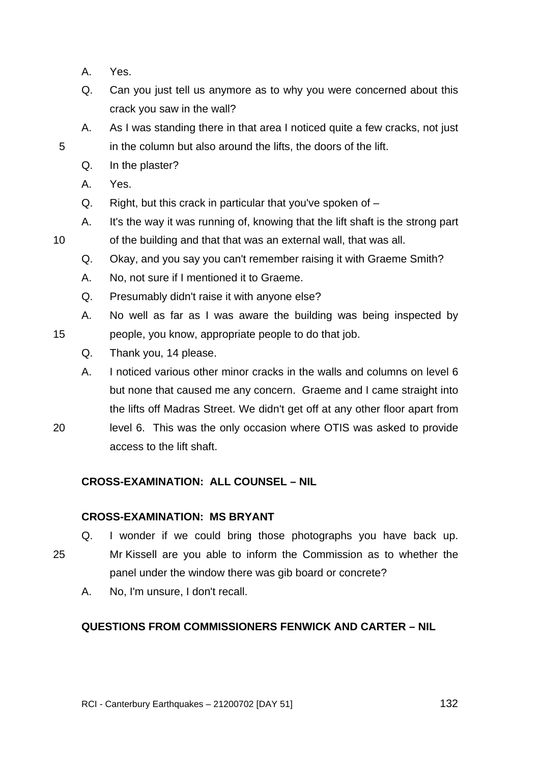- A. Yes.
- Q. Can you just tell us anymore as to why you were concerned about this crack you saw in the wall?
- A. As I was standing there in that area I noticed quite a few cracks, not just in the column but also around the lifts, the doors of the lift.
- Q. In the plaster?
- A. Yes.

5

10

15

20

- Q. Right, but this crack in particular that you've spoken of –
- A. It's the way it was running of, knowing that the lift shaft is the strong part of the building and that that was an external wall, that was all.
- Q. Okay, and you say you can't remember raising it with Graeme Smith?
- A. No, not sure if I mentioned it to Graeme.
- Q. Presumably didn't raise it with anyone else?
- A. No well as far as I was aware the building was being inspected by people, you know, appropriate people to do that job.
	- Q. Thank you, 14 please.
- A. I noticed various other minor cracks in the walls and columns on level 6 but none that caused me any concern. Graeme and I came straight into the lifts off Madras Street. We didn't get off at any other floor apart from level 6. This was the only occasion where OTIS was asked to provide access to the lift shaft.
- **CROSS-EXAMINATION: ALL COUNSEL NIL**

## **CROSS-EXAMINATION: MS BRYANT**

- Q. I wonder if we could bring those photographs you have back up.
- 25 Mr Kissell are you able to inform the Commission as to whether the panel under the window there was gib board or concrete?
	- A. No, I'm unsure, I don't recall.

## **QUESTIONS FROM COMMISSIONERS FENWICK AND CARTER – NIL**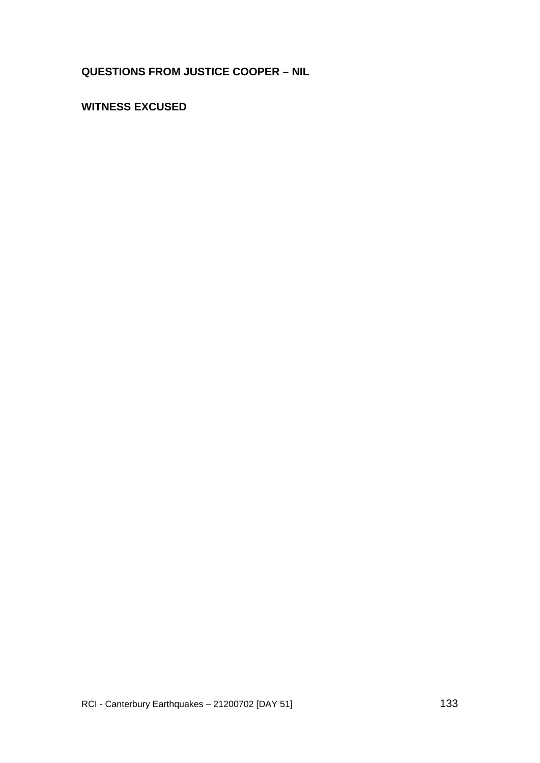# **QUESTIONS FROM JUSTICE COOPER – NIL**

# **WITNESS EXCUSED**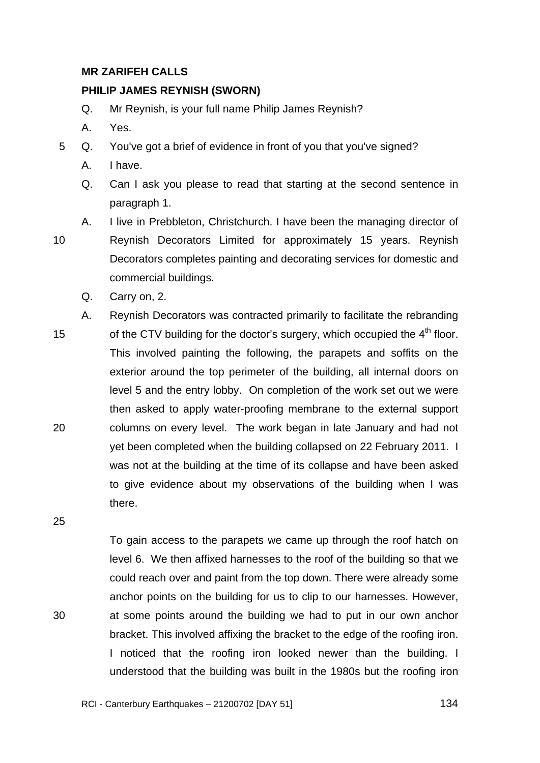### **MR ZARIFEH CALLS**

### **PHILIP JAMES REYNISH (SWORN)**

- Q. Mr Reynish, is your full name Philip James Reynish?
- A. Yes.
- 5 Q. You've got a brief of evidence in front of you that you've signed?
	- A. I have.
	- Q. Can I ask you please to read that starting at the second sentence in paragraph 1.
- 10

A. I live in Prebbleton, Christchurch. I have been the managing director of Reynish Decorators Limited for approximately 15 years. Reynish Decorators completes painting and decorating services for domestic and commercial buildings.

- Q. Carry on, 2.
- 15 20 A. Reynish Decorators was contracted primarily to facilitate the rebranding of the CTV building for the doctor's surgery, which occupied the  $4<sup>th</sup>$  floor. This involved painting the following, the parapets and soffits on the exterior around the top perimeter of the building, all internal doors on level 5 and the entry lobby. On completion of the work set out we were then asked to apply water-proofing membrane to the external support columns on every level. The work began in late January and had not yet been completed when the building collapsed on 22 February 2011. I was not at the building at the time of its collapse and have been asked to give evidence about my observations of the building when I was there.

25

30

To gain access to the parapets we came up through the roof hatch on level 6. We then affixed harnesses to the roof of the building so that we could reach over and paint from the top down. There were already some anchor points on the building for us to clip to our harnesses. However, at some points around the building we had to put in our own anchor bracket. This involved affixing the bracket to the edge of the roofing iron. I noticed that the roofing iron looked newer than the building. I understood that the building was built in the 1980s but the roofing iron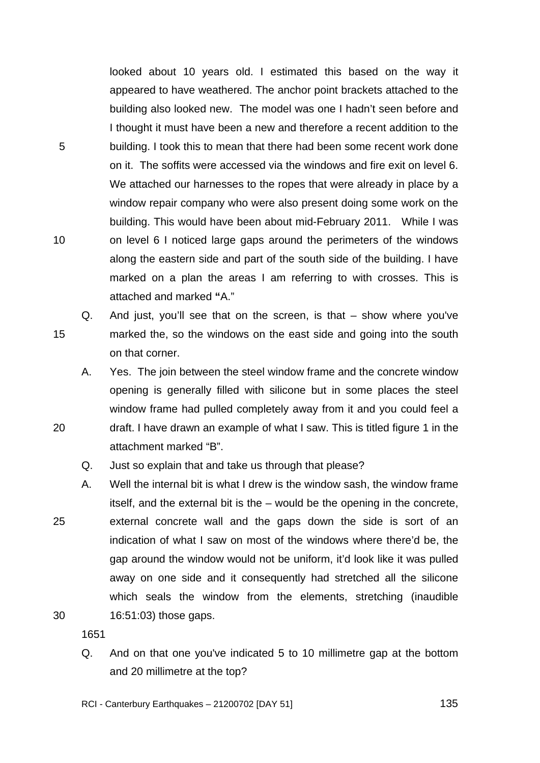looked about 10 years old. I estimated this based on the way it appeared to have weathered. The anchor point brackets attached to the building also looked new. The model was one I hadn't seen before and I thought it must have been a new and therefore a recent addition to the building. I took this to mean that there had been some recent work done on it. The soffits were accessed via the windows and fire exit on level 6. We attached our harnesses to the ropes that were already in place by a window repair company who were also present doing some work on the building. This would have been about mid-February 2011. While I was on level 6 I noticed large gaps around the perimeters of the windows along the eastern side and part of the south side of the building. I have marked on a plan the areas I am referring to with crosses. This is attached and marked **"**A."

Q. And just, you'll see that on the screen, is that – show where you've marked the, so the windows on the east side and going into the south on that corner.

A. Yes. The join between the steel window frame and the concrete window opening is generally filled with silicone but in some places the steel window frame had pulled completely away from it and you could feel a draft. I have drawn an example of what I saw. This is titled figure 1 in the attachment marked "B".

Q. Just so explain that and take us through that please?

25 A. Well the internal bit is what I drew is the window sash, the window frame itself, and the external bit is the – would be the opening in the concrete, external concrete wall and the gaps down the side is sort of an indication of what I saw on most of the windows where there'd be, the gap around the window would not be uniform, it'd look like it was pulled away on one side and it consequently had stretched all the silicone which seals the window from the elements, stretching (inaudible 16:51:03) those gaps.

1651

5

10

15

20

30

Q. And on that one you've indicated 5 to 10 millimetre gap at the bottom and 20 millimetre at the top?

RCI - Canterbury Earthquakes – 21200702 [DAY 51]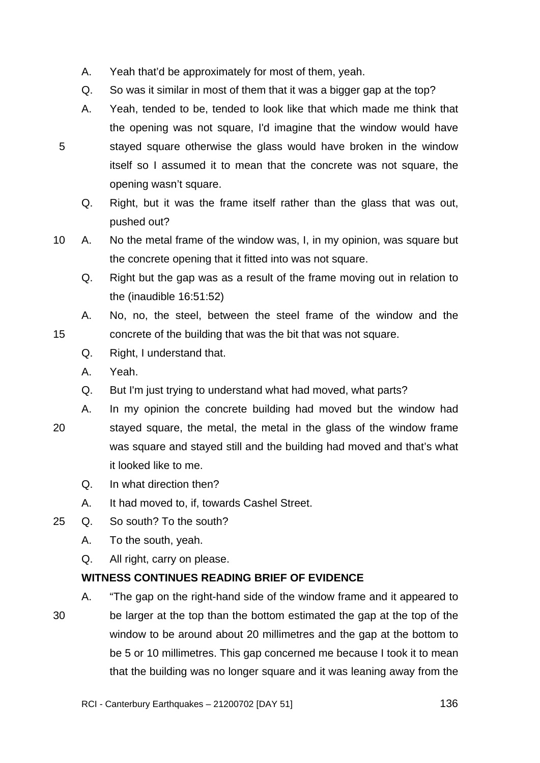- A. Yeah that'd be approximately for most of them, yeah.
- Q. So was it similar in most of them that it was a bigger gap at the top?
- A. Yeah, tended to be, tended to look like that which made me think that the opening was not square, I'd imagine that the window would have stayed square otherwise the glass would have broken in the window itself so I assumed it to mean that the concrete was not square, the opening wasn't square.
	- Q. Right, but it was the frame itself rather than the glass that was out, pushed out?
- 10 A. No the metal frame of the window was, I, in my opinion, was square but the concrete opening that it fitted into was not square.
	- Q. Right but the gap was as a result of the frame moving out in relation to the (inaudible 16:51:52)
	- A. No, no, the steel, between the steel frame of the window and the concrete of the building that was the bit that was not square.
	- Q. Right, I understand that.
	- A. Yeah.
	- Q. But I'm just trying to understand what had moved, what parts?
- 20

15

5

- A. In my opinion the concrete building had moved but the window had stayed square, the metal, the metal in the glass of the window frame was square and stayed still and the building had moved and that's what
	- it looked like to me.
	- Q. In what direction then?
	- A. It had moved to, if, towards Cashel Street.
- 25 Q. So south? To the south?
	- A. To the south, yeah.
	- Q. All right, carry on please.

## **WITNESS CONTINUES READING BRIEF OF EVIDENCE**

30 A. "The gap on the right-hand side of the window frame and it appeared to be larger at the top than the bottom estimated the gap at the top of the window to be around about 20 millimetres and the gap at the bottom to be 5 or 10 millimetres. This gap concerned me because I took it to mean that the building was no longer square and it was leaning away from the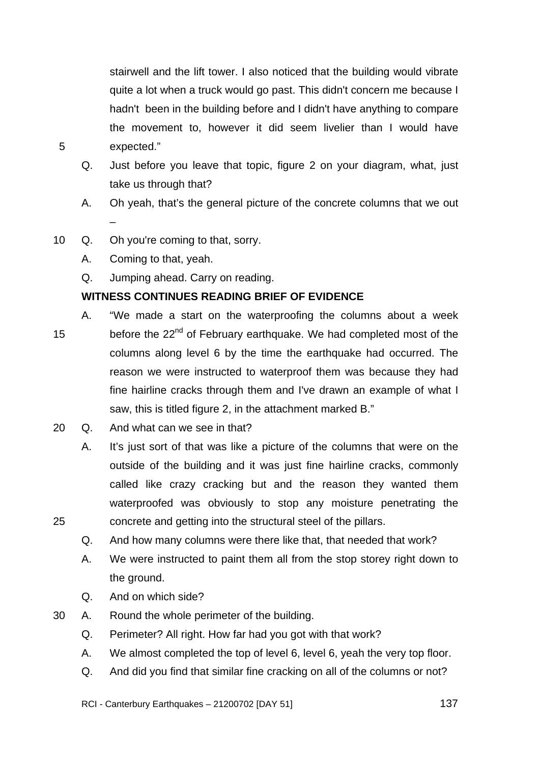stairwell and the lift tower. I also noticed that the building would vibrate quite a lot when a truck would go past. This didn't concern me because I hadn't been in the building before and I didn't have anything to compare the movement to, however it did seem livelier than I would have expected."

- Q. Just before you leave that topic, figure 2 on your diagram, what, just take us through that?
- A. Oh yeah, that's the general picture of the concrete columns that we out –
- 10 Q. Oh you're coming to that, sorry.
	- A. Coming to that, yeah.

5

25

Q. Jumping ahead. Carry on reading.

## **WITNESS CONTINUES READING BRIEF OF EVIDENCE**

- 15 A. "We made a start on the waterproofing the columns about a week before the 22<sup>nd</sup> of February earthquake. We had completed most of the columns along level 6 by the time the earthquake had occurred. The reason we were instructed to waterproof them was because they had fine hairline cracks through them and I've drawn an example of what I saw, this is titled figure 2, in the attachment marked B."
- 20 Q. And what can we see in that?
	- A. It's just sort of that was like a picture of the columns that were on the outside of the building and it was just fine hairline cracks, commonly called like crazy cracking but and the reason they wanted them waterproofed was obviously to stop any moisture penetrating the concrete and getting into the structural steel of the pillars.
	- Q. And how many columns were there like that, that needed that work?
	- A. We were instructed to paint them all from the stop storey right down to the ground.
	- Q. And on which side?
- 30 A. Round the whole perimeter of the building.
	- Q. Perimeter? All right. How far had you got with that work?
	- A. We almost completed the top of level 6, level 6, yeah the very top floor.
	- Q. And did you find that similar fine cracking on all of the columns or not?

RCI - Canterbury Earthquakes – 21200702 [DAY 51]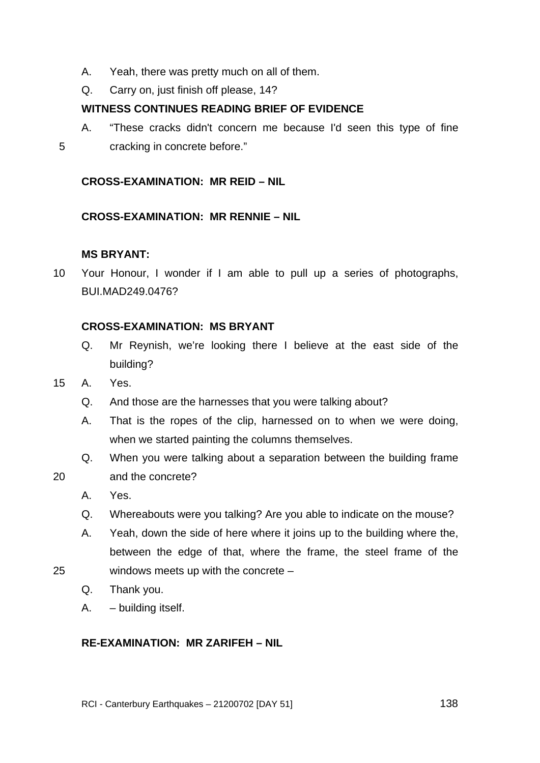- A. Yeah, there was pretty much on all of them.
- Q. Carry on, just finish off please, 14?

## **WITNESS CONTINUES READING BRIEF OF EVIDENCE**

A. "These cracks didn't concern me because I'd seen this type of fine cracking in concrete before."

## **CROSS-EXAMINATION: MR REID – NIL**

#### **CROSS-EXAMINATION: MR RENNIE – NIL**

## **MS BRYANT:**

10 Your Honour, I wonder if I am able to pull up a series of photographs, BUI.MAD249.0476?

#### **CROSS-EXAMINATION: MS BRYANT**

- Q. Mr Reynish, we're looking there I believe at the east side of the building?
- 15 A. Yes.
	- Q. And those are the harnesses that you were talking about?
	- A. That is the ropes of the clip, harnessed on to when we were doing, when we started painting the columns themselves.
	- Q. When you were talking about a separation between the building frame and the concrete?
- 20

5

- A. Yes.
- Q. Whereabouts were you talking? Are you able to indicate on the mouse?
- A. Yeah, down the side of here where it joins up to the building where the, between the edge of that, where the frame, the steel frame of the
- 25 windows meets up with the concrete –
	- Q. Thank you.
	- A. building itself.

## **RE-EXAMINATION: MR ZARIFEH – NIL**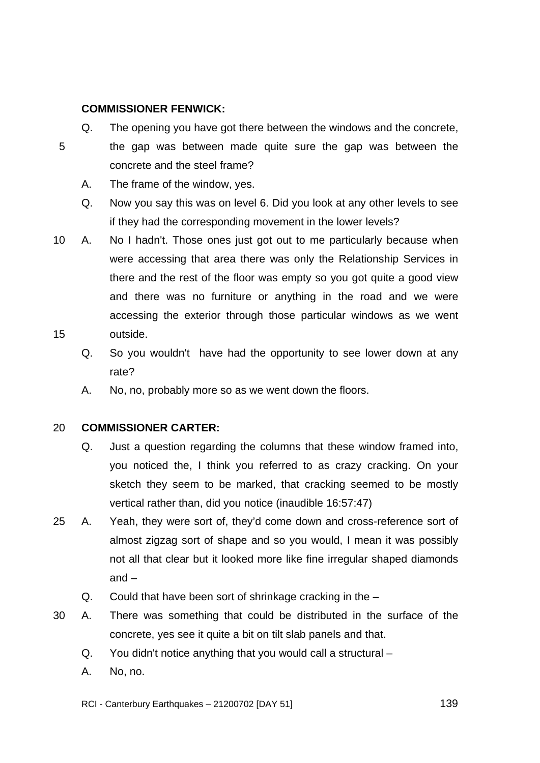## **COMMISSIONER FENWICK:**

5

- Q. The opening you have got there between the windows and the concrete, the gap was between made quite sure the gap was between the concrete and the steel frame?
	- A. The frame of the window, yes.
	- Q. Now you say this was on level 6. Did you look at any other levels to see if they had the corresponding movement in the lower levels?
- 15 10 A. No I hadn't. Those ones just got out to me particularly because when were accessing that area there was only the Relationship Services in there and the rest of the floor was empty so you got quite a good view and there was no furniture or anything in the road and we were accessing the exterior through those particular windows as we went outside.
	- Q. So you wouldn't have had the opportunity to see lower down at any rate?
	- A. No, no, probably more so as we went down the floors.

#### 20 **COMMISSIONER CARTER:**

- Q. Just a question regarding the columns that these window framed into, you noticed the, I think you referred to as crazy cracking. On your sketch they seem to be marked, that cracking seemed to be mostly vertical rather than, did you notice (inaudible 16:57:47)
- 25 A. Yeah, they were sort of, they'd come down and cross-reference sort of almost zigzag sort of shape and so you would, I mean it was possibly not all that clear but it looked more like fine irregular shaped diamonds  $and -$ 
	- Q. Could that have been sort of shrinkage cracking in the –
- 30 A. There was something that could be distributed in the surface of the concrete, yes see it quite a bit on tilt slab panels and that.
	- Q. You didn't notice anything that you would call a structural –
	- A. No, no.

RCI - Canterbury Earthquakes – 21200702 [DAY 51]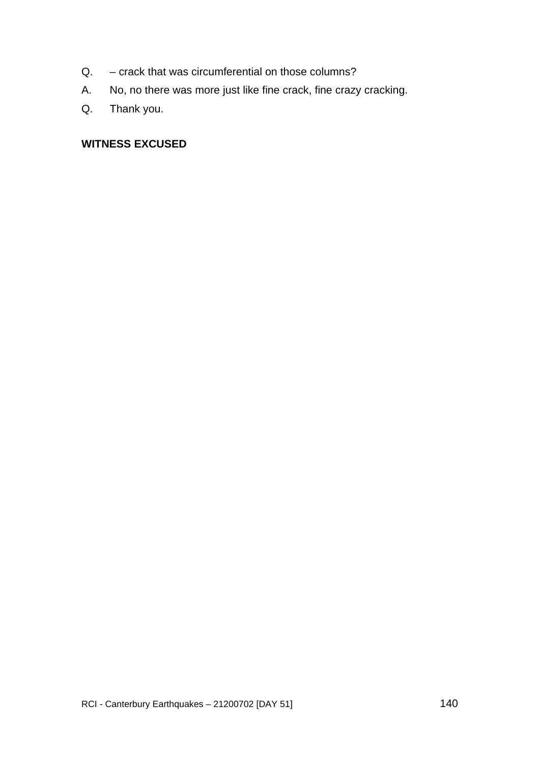- Q. crack that was circumferential on those columns?
- A. No, no there was more just like fine crack, fine crazy cracking.
- Q. Thank you.

## **WITNESS EXCUSED**